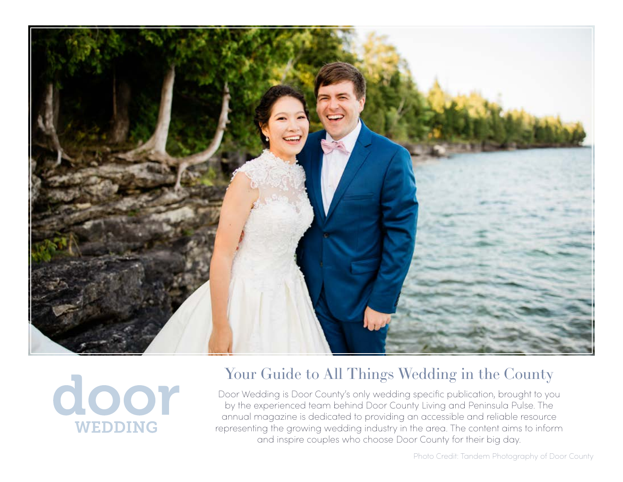



## Your Guide to All Things Wedding in the County

Door Wedding is Door County's only wedding specific publication, brought to you by the experienced team behind Door County Living and Peninsula Pulse. The annual magazine is dedicated to providing an accessible and reliable resource representing the growing wedding industry in the area. The content aims to inform and inspire couples who choose Door County for their big day.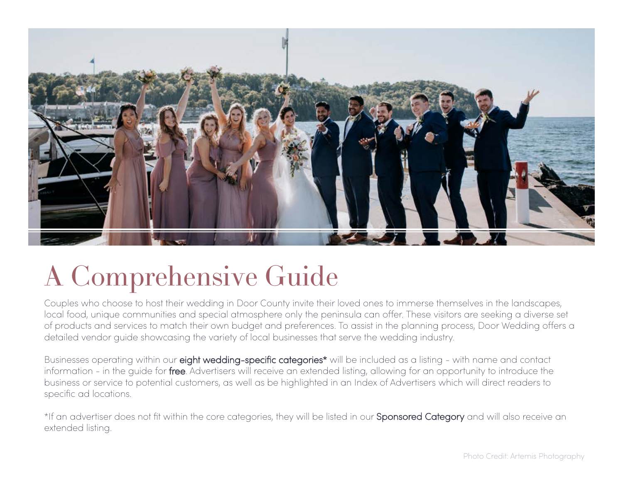

# A Comprehensive Guide

Couples who choose to host their wedding in Door County invite their loved ones to immerse themselves in the landscapes, local food, unique communities and special atmosphere only the peninsula can offer. These visitors are seeking a diverse set of products and services to match their own budget and preferences. To assist in the planning process, Door Wedding offers a detailed vendor guide showcasing the variety of local businesses that serve the wedding industry.

Businesses operating within our eight wedding-specific categories<sup>\*</sup> will be included as a listing - with name and contact information - in the guide for free. Advertisers will receive an extended listing, allowing for an opportunity to introduce the business or service to potential customers, as well as be highlighted in an Index of Advertisers which will direct readers to specific ad locations.

\*If an advertiser does not fit within the core categories, they will be listed in our **Sponsored Category** and will also receive an extended listing.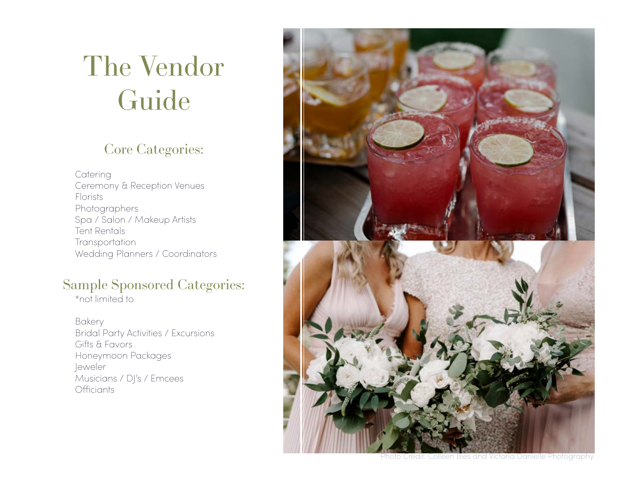# The Vendor Guide

## Core Categories:

**Catering** Ceremony & Reception Venues Florists Photographers Spa / Salon / Makeup Artists Tent Rentals **Transportation** Wedding Planners / Coordinators

### Sample Sponsored Categories:

\*not limited to

Bakery Bridal Party Activities / Excursions Gifts & Favors Honeymoon Packages Jeweler Musicians / DJ's / Emcees **Officiants** 



Photo Credit: Colleen Bies and Victoria Danielle Photography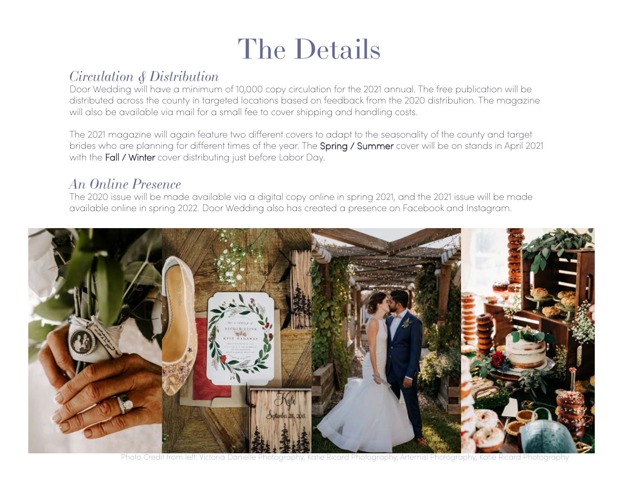# The Details

#### *Circulation & Distribution*

Door Wedding will have a minimum of 10,000 copy circulation for the 2021 annual. The free publication will be distributed across the county in targeted locations based on feedback from the 2020 distribution. The magazine will also be available via mail for a small fee to cover shipping and handling costs.

The 2021 magazine will again feature two different covers to adapt to the seasonality of the county and target brides who are planning for different times of the year. The Spring / Summer cover will be on stands in April 2021 with the Fall / Winter cover distributing just before Labor Day.

#### *An Online Presence*

The 2020 issue will be made available via a digital copy online in spring 2021, and the 2021 issue will be made available online in spring 2022. Door Wedding also has created a presence on Facebook and Instagram.



Photo Credit from left: Victoria Danielle Photography, Katie Ricard Photography, Artemisl Photography, Katie Ricard Photography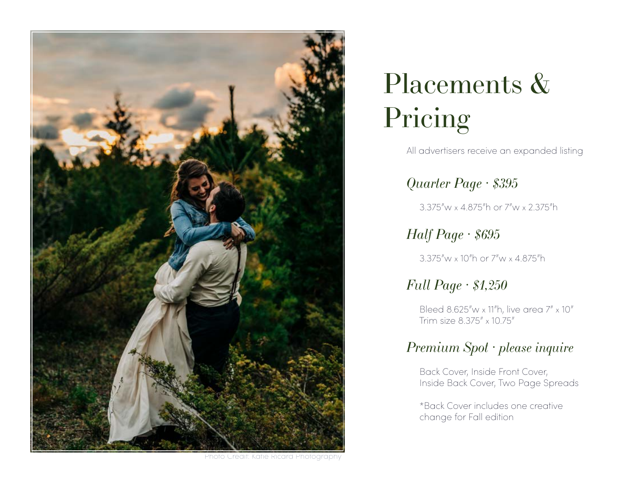

# Placements & Pricing

All advertisers receive an expanded listing

*Quarter Page · \$395*

3.375"w x 4.875"h or 7"w x 2.375"h

*Half Page · \$695*

3.375"w x 10"h or 7"w x 4.875"h

### *Full Page · \$1,250*

 Bleed 8.625"w x 11"h, live area 7" x 10" Trim size 8.375" x 10.75"

### *Premium Spot · please inquire*

 Back Cover, Inside Front Cover, Inside Back Cover, Two Page Spreads

 \*Back Cover includes one creative change for Fall edition

Photo Credit: Katie Ricard Photography